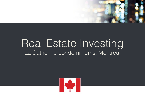

# Real Estate Investing La Catherine condominiums, Montreal

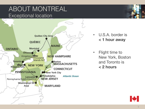## ABOUT MONTREAL Exceptional location



- U.S.A. border is **< 1 hour away**
- Flight time to New York, Boston and Toronto is **< 2 hours**

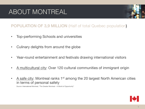# ABOUT MONTREAL



### POPULATION OF 3,9 MILLION (Half of total Quebec population)

- Top-performing Schools and universities
- Culinary delights from around the globe
- Year-round entertainment and festivals drawing international visitors
- A multicultural city: Over 120 cultural communities of immigrant origin
- A safe city: Montreal ranks  $1<sup>st</sup>$  among the 20 largest North American cities in terms of personal safety

*Source:* International Montreal, "The Greater Montreal – A World of Opportunity"

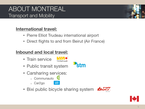## ABOUT MONTREAL Transport and Mobility

### **International travel:**

- Pierre Elliot Trudeau international airport
- Direct flights to and from Beirut (Air France)

### **Inbound and local travel:**

• Train service



- Public transit system
- Carsharing services:
	- Communauto C
	- o Car2go
- Bixi public bicycle sharing system

 $E<sub>0</sub>$ 





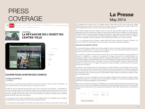# PRESS **COVERAGE**



Cet **Cancer COUP D'ERLANDE D'EMPLOI** QUOI DE NEUF ON PARLE DE NOUS INSTALLER L'APPLICATION 4 mai 2014, section MAISON, écran 10



#### **MONTRÉAL LA REVANCHE DE L'OUEST DU CENTRE-VILLE**

ENVOYER

 $\sim$ 



#### **CAMPER POUR ACHETER DES CONDOS**

#### **DANIELLE BONNEAU** LA PRESSE

Le 29 mai, est-ce que 200 personnes attendront l'ouverture du bureau des ventes du projet La Catherine, rue Sainte-Catherine Ouest, à l'est de l'ancien Forum ? Les paris sont ouverts !

Au début du mois, le lancement du projet Xact, juste à côté, a créé toute une commotion : une trentaine de personnes ont bravé la pluie et le froid pendant quelques jours (et quelques nuits) afin d'être les premiers à choisir un condo ! Il a fallu distribuer des numéros pour que les campeurs improvisés rentrent chez eux. Le matin de l'ouverture officielle du bureau des ventes, plus de 200 personnes se trouvaient à l'extérieur. Dès la première journée, 68 des 88 condos ont trouvé preneur!

« Je ne pensais pas qu'il y aurait une telle demande », avoue Debbie LaFave, vice-présidente senior de l'agence Immobilier Baker, qui a pourtant une connaissance approfondie du marché.

« Il y a beaucoup de projets grandioses à Montréal, mais celui-là répond à un besoin, poursuit-elle. Comme il s'agit

### **La Presse** May 2014

d'un changement de vocation pour un immeuble existant. l'ancien hôtel du Fort, situé au-dessus du collège LaSalle. les prix des condos ne sont pas aussi élevés. Le proiet se trouve par ailleurs dans un quartier établi où tout est accessible à pied, à vélo ou en métro. C'est ce qui le rend si intéressant, »

Cette frénésie rappelle celle qu'a suscitée la mise en vente des deux premières phases du Seville, en 2010, pratiquement de l'autre côté de la rue. Depuis, les 450 condos du Seville se sont concrétisés, et un café Starbucks. un Marché Adonis et une succursale de la Banque de Montréal se sont installés au rez-de-chaussée de l'imposant complexe, ce qui a contribué à la relance du Village Shaughnessy, affaibli par la fermeture du Forum en 1996. Le renouveau est palpable rue Sainte-Catherine Ouest et à la Place Alexis-Nihon, qui se refait une beauté.

« Il y a un engouement pour le quartier, constate Allan Fadi Coussa, architecte du projet La Catherine. Les services, les stations de métro Atwater et Guy-Concordia, les universités, les épiceries sont déjà là. »

#### NOUVEAU QUARTIER CHINOIS

La communauté asiatique a d'ailleurs bien saisi le potentiel du secteur. Aussi figure-t-elle dans la ligne de mire des promoteurs. La clientèle visée ? Les parents, d'ici ou d'ailleurs, qui ne sont pas nécessairement riches et donnent un coup de main à leurs enfants en investissant dans l'immobilier.

Aussi, autant les concepteurs de La Catherine que du Xact se sont assurés de respecter les grands principes du feng shui. La Catherine, un complexe en copropriété de 15 étages, du côté de la rue Sainte-Catherine, qui remplacera un édifice vacant, occupé auparavant par un magasin Omer DeSerres, n'aura pas la même adresse que l'immeuble précédent. Le 2134 deviendra le 2136, rue Sainte-Catherine Ouest (pour éviter le chiffre 4, qui évoque la mort pour les Chinois). À l'arrière, rue Topper, où se trouvera l'entrée principale, l'adresse se rapprochera le plus possible du 8 chanceux (2117, rue Tupper). Les portes des condos, par ailleurs, ne seront pas vis-à-vis les portes donnant accès aux balcons

La Catherine est le deuxième projet du Groupe Gabriel, qui réalise le Platopolis, dans le Plateau. Alors que le prix moven d'un condo au Xact est d'environ 412 \$ le pied carré, celui d'un appartement au Catherine variera entre 430 \$ et 450 \$ le pied carré. C'est cher ? Un peu plus à l'est, dans les futures tours aux environs du Centre Bell, les prix varient entre 500 \$ et 650 \$ le pied carré, révèle Mathieu Collette, directeur des études de marché du condo au sein du Groupe Altus.

« Les projets ne sont pas comparables à cause de leur nombre d'étages, de leur nombre de condos et de leur emplacement, précise-t-il. Le secteur autour du Centre Bell est à maturité. Il y a beaucoup d'immeubles de belle qualité avec des adresses prestigieuses à courte distance. »

Pour mieux se mesurer à la concurrence. La Catherine aura une piscine sur le toit de la base commerciale, de deux étages, ainsi qu'un centre de conditionnement physique. Le lancement officiel du projet se fera le 30 mai à midi, mais ceux qui se seront inscrits sur le site pourront se présenter la veille. Déjà, 1200 personnes ont manifesté de l'intérêt l

| ENVOYER     | n<br>Tweeter |  |
|-------------|--------------|--|
| TÉLÉCHARGEZ |              |  |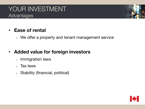## YOUR INVESTMENT Advantages

## • **Ease of rental**

<sup>o</sup> We offer a property and tenant management service

## • **Added value for foreign investors**

- <sup>o</sup> Immigration laws
- <sup>o</sup> Tax laws
- <sup>o</sup> Stability (financial, political)

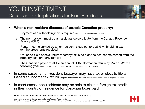

- **When a non-resident disposes of taxable Canadian property:**
	- $\circ$  Payment of a withholding tax is required (Section 116 of the Income Tax Act)
	- $\circ$  The non-resident must obtain a clearance certificate from the Canada Revenue Agency (CRA)
	- $\circ$  Rental income earned by a non-resident is subject to a 25% withholding tax (on the gross rents received)
	- $\circ$  Option to file a special return whereby tax is paid on the net income earned from the property (real property rentals)
	- $\circ$  The Canadian payer must file an annual CRA information return by March 31<sup>st</sup> the following year (NR4 form – summary of gross rent paid or credited in the previous year)
- In some cases, a non-resident taxpayer may have to, or elect to file a Canadian income tax return (Request that taxes be assessed on *net* rental income and at *marginal* tax rates)
- In most cases, non-residents may be able to claim a foreign tax credit in their country of residence for Canadian taxes paid

 **Note:** Non-residents are required to obtain a CRA Individual Tax Number (ITN)

*Source:* Government of Canada website, Canada Revenue Agency section: file:///Users/vlyssan/Library/Containers/com.apple.mail/Data/Library/Mail%20Downloads/Non-residents%20of%20Canada.html